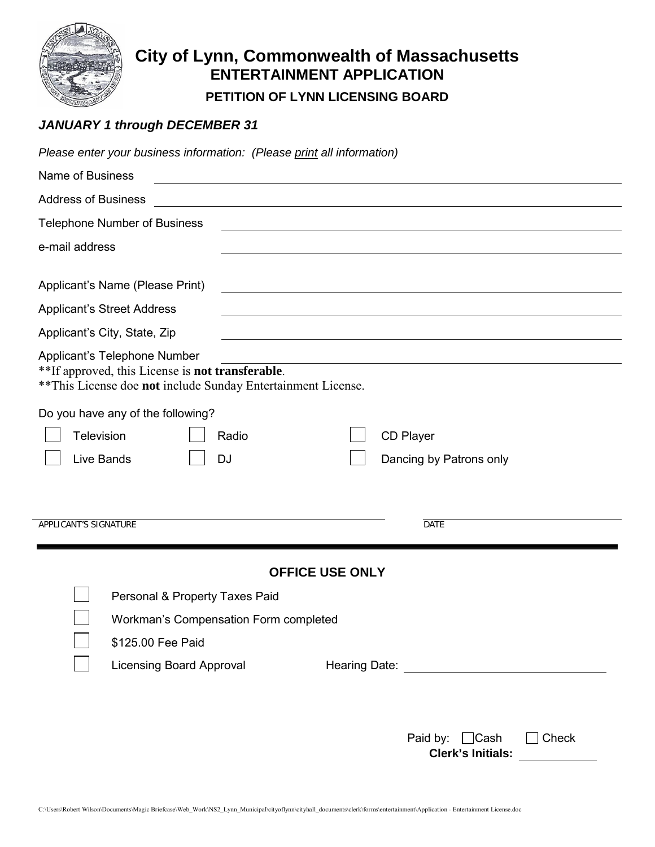

## **City of Lynn, Commonwealth of Massachusetts ENTERTAINMENT APPLICATION**

**PETITION OF LYNN LICENSING BOARD**

### *JANUARY 1 through DECEMBER 31*

| Please enter your business information: (Please print all information)                                                                            |                                                                                                                       |
|---------------------------------------------------------------------------------------------------------------------------------------------------|-----------------------------------------------------------------------------------------------------------------------|
| Name of Business                                                                                                                                  |                                                                                                                       |
| <b>Address of Business</b>                                                                                                                        | <u> 1980 - Johann Stoff, deutscher Stoff, der Stoff, der Stoff, der Stoff, der Stoff, der Stoff, der Stoff, der S</u> |
| <b>Telephone Number of Business</b>                                                                                                               |                                                                                                                       |
| e-mail address                                                                                                                                    |                                                                                                                       |
| Applicant's Name (Please Print)<br><b>Applicant's Street Address</b>                                                                              |                                                                                                                       |
| Applicant's City, State, Zip                                                                                                                      |                                                                                                                       |
| Applicant's Telephone Number<br>**If approved, this License is not transferable.<br>** This License doe not include Sunday Entertainment License. |                                                                                                                       |
| Do you have any of the following?<br>Television<br>Radio<br>Live Bands<br><b>DJ</b>                                                               | CD Player<br>Dancing by Patrons only                                                                                  |
| APPLICANT'S SIGNATURE                                                                                                                             | DATE                                                                                                                  |
| Personal & Property Taxes Paid                                                                                                                    | <b>OFFICE USE ONLY</b>                                                                                                |
| Workman's Compensation Form completed                                                                                                             |                                                                                                                       |
| \$125.00 Fee Paid                                                                                                                                 |                                                                                                                       |
| <b>Licensing Board Approval</b>                                                                                                                   |                                                                                                                       |
|                                                                                                                                                   | Paid by: □ Cash<br>Check<br><b>Clerk's Initials:</b>                                                                  |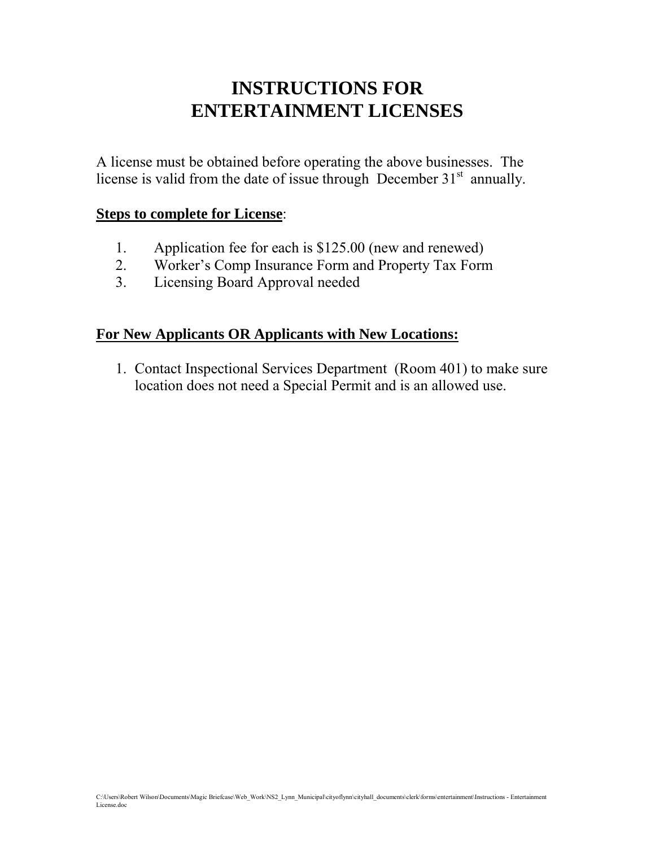## **INSTRUCTIONS FOR ENTERTAINMENT LICENSES**

A license must be obtained before operating the above businesses. The license is valid from the date of issue through December  $31<sup>st</sup>$  annually.

#### **Steps to complete for License**:

- 1. Application fee for each is \$125.00 (new and renewed)
- 2. Worker's Comp Insurance Form and Property Tax Form
- 3. Licensing Board Approval needed

## **For New Applicants OR Applicants with New Locations:**

1. Contact Inspectional Services Department (Room 401) to make sure location does not need a Special Permit and is an allowed use.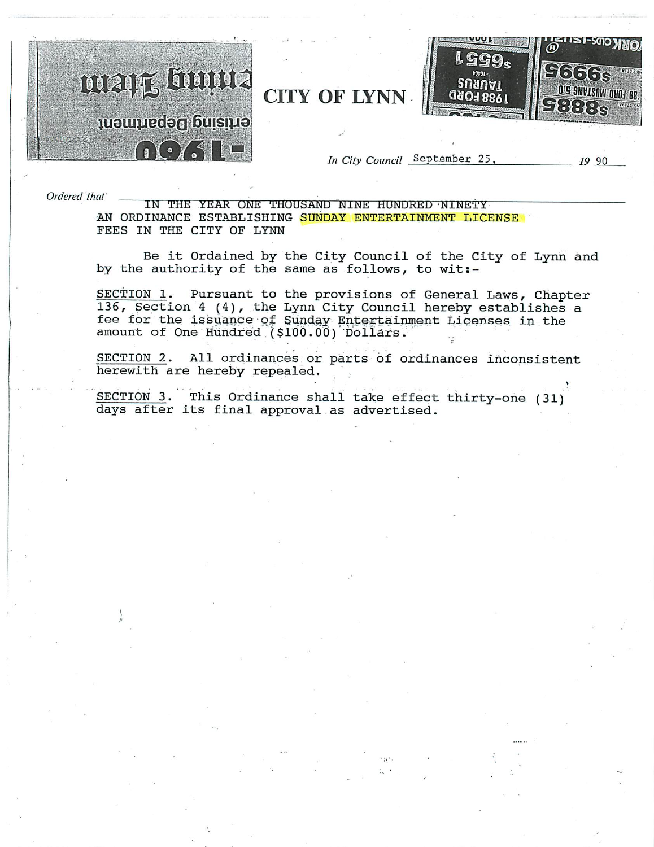

Ordered that

IN THE YEAR ONE THOUSAND NINE HUNDRED NINETY AN ORDINANCE ESTABLISHING SUNDAY ENTERTAINMENT LICENSE FEES IN THE CITY OF LYNN

Be it Ordained by the City Council of the City of Lynn and by the authority of the same as follows, to wit:-

SECTION 1. Pursuant to the provisions of General Laws, Chapter 136, Section 4 (4), the Lynn City Council hereby establishes a fee for the issuance of Sunday Entertainment Licenses in the amount of One Hundred (\$100.00) Dollars.

SECTION 2. All ordinances or parts of ordinances inconsistent herewith are hereby repealed.

SECTION 3. This Ordinance shall take effect thirty-one (31) days after its final approval as advertised.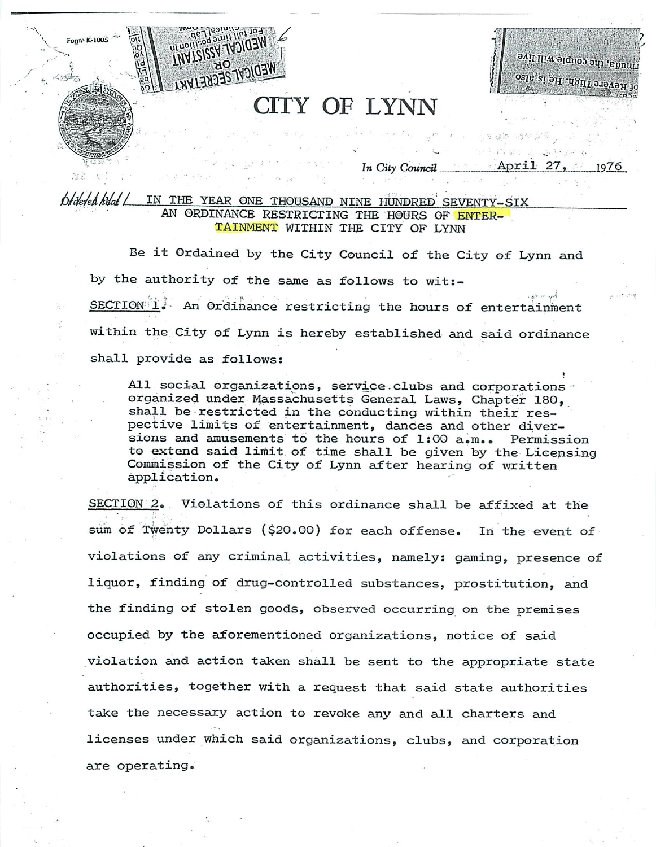## **CITY OF LYNN**

avil III'w alduoo am rhe devere High, He is also

#### In City Council 1976

#### IN THE YEAR ONE THOUSAND NINE HUNDRED SEVENTY-SIX Ofdered hyat / AN ORDINANCE RESTRICTING THE HOURS OF ENTER-TAINMENT WITHIN THE CITY OF LYNN

Form K-1005

ul uollisod a **THAT2122** 

NEDICVI 2ECKE1WKI

Be it Ordained by the City Council of the City of Lynn and by the authority of the same as follows to wit:-SECTION 1. An Ordinance restricting the hours of entertainment within the City of Lynn is hereby established and said ordinance shall provide as follows:

All social organizations, service clubs and corporations organized under Massachusetts General Laws, Chapter 180, shall be restricted in the conducting within their respective limits of entertainment, dances and other diversions and amusements to the hours of 1:00 a.m.. Permission to extend said limit of time shall be given by the Licensing Commission of the City of Lynn after hearing of written application.

SECTION 2. Violations of this ordinance shall be affixed at the sum of Twenty Dollars (\$20.00) for each offense. In the event of violations of any criminal activities, namely: gaming, presence of liquor, finding of drug-controlled substances, prostitution, and the finding of stolen goods, observed occurring on the premises occupied by the aforementioned organizations, notice of said violation and action taken shall be sent to the appropriate state authorities, together with a request that said state authorities take the necessary action to revoke any and all charters and licenses under which said organizations, clubs, and corporation are operating.